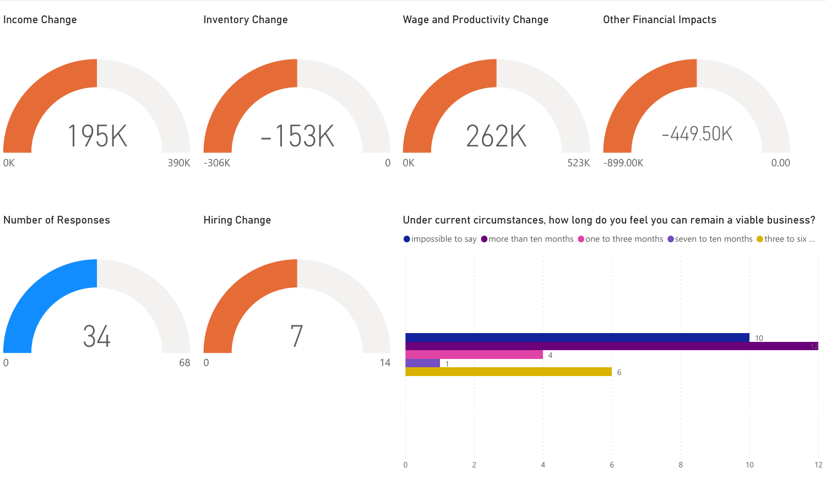